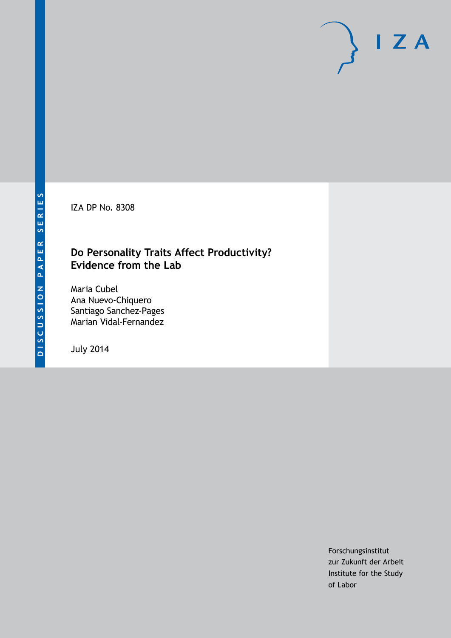IZA DP No. 8308

## **Do Personality Traits Affect Productivity? Evidence from the Lab**

Maria Cubel Ana Nuevo-Chiquero Santiago Sanchez-Pages Marian Vidal-Fernandez

July 2014

Forschungsinstitut zur Zukunft der Arbeit Institute for the Study of Labor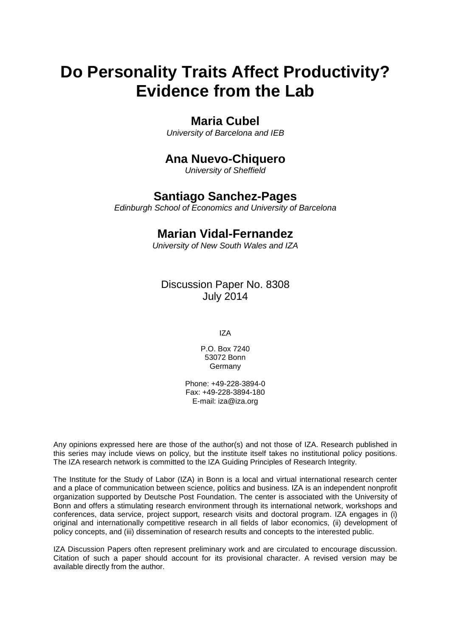# **Do Personality Traits Affect Productivity? Evidence from the Lab**

### **Maria Cubel**

*University of Barcelona and IEB*

### **Ana Nuevo-Chiquero**

*University of Sheffield*

### **Santiago Sanchez-Pages**

*Edinburgh School of Economics and University of Barcelona*

### **Marian Vidal-Fernandez**

*University of New South Wales and IZA*

Discussion Paper No. 8308 July 2014

IZA

P.O. Box 7240 53072 Bonn Germany

Phone: +49-228-3894-0 Fax: +49-228-3894-180 E-mail: [iza@iza.org](mailto:iza@iza.org)

Any opinions expressed here are those of the author(s) and not those of IZA. Research published in this series may include views on policy, but the institute itself takes no institutional policy positions. The IZA research network is committed to the IZA Guiding Principles of Research Integrity.

The Institute for the Study of Labor (IZA) in Bonn is a local and virtual international research center and a place of communication between science, politics and business. IZA is an independent nonprofit organization supported by Deutsche Post Foundation. The center is associated with the University of Bonn and offers a stimulating research environment through its international network, workshops and conferences, data service, project support, research visits and doctoral program. IZA engages in (i) original and internationally competitive research in all fields of labor economics, (ii) development of policy concepts, and (iii) dissemination of research results and concepts to the interested public.

<span id="page-1-0"></span>IZA Discussion Papers often represent preliminary work and are circulated to encourage discussion. Citation of such a paper should account for its provisional character. A revised version may be available directly from the author.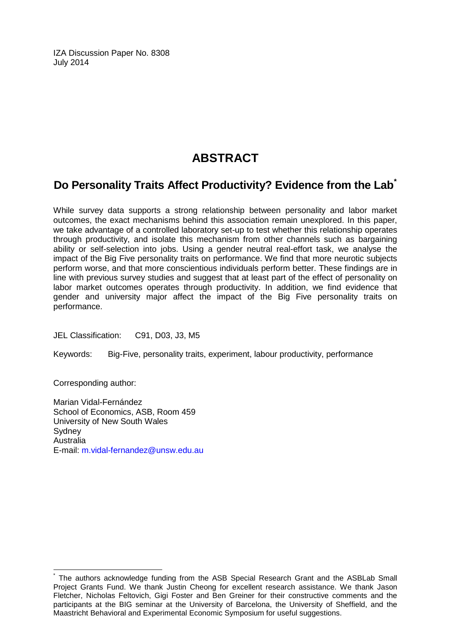IZA Discussion Paper No. 8308 July 2014

# **ABSTRACT**

### **Do Personality Traits Affect Productivity? Evidence from the Lab[\\*](#page-1-0)**

While survey data supports a strong relationship between personality and labor market outcomes, the exact mechanisms behind this association remain unexplored. In this paper, we take advantage of a controlled laboratory set-up to test whether this relationship operates through productivity, and isolate this mechanism from other channels such as bargaining ability or self-selection into jobs. Using a gender neutral real-effort task, we analyse the impact of the Big Five personality traits on performance. We find that more neurotic subjects perform worse, and that more conscientious individuals perform better. These findings are in line with previous survey studies and suggest that at least part of the effect of personality on labor market outcomes operates through productivity. In addition, we find evidence that gender and university major affect the impact of the Big Five personality traits on performance.

JEL Classification: C91, D03, J3, M5

Keywords: Big-Five, personality traits, experiment, labour productivity, performance

Corresponding author:

Marian Vidal-Fernández School of Economics, ASB, Room 459 University of New South Wales **Sydney** Australia E-mail: [m.vidal-fernandez@unsw.edu.au](mailto:m.vidal-fernandez@unsw.edu.au)

The authors acknowledge funding from the ASB Special Research Grant and the ASBLab Small Project Grants Fund. We thank Justin Cheong for excellent research assistance. We thank Jason Fletcher, Nicholas Feltovich, Gigi Foster and Ben Greiner for their constructive comments and the participants at the BIG seminar at the University of Barcelona, the University of Sheffield, and the Maastricht Behavioral and Experimental Economic Symposium for useful suggestions.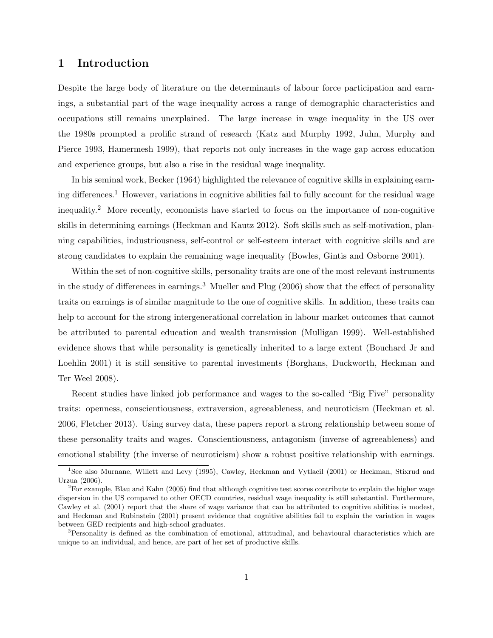#### 1 Introduction

Despite the large body of literature on the determinants of labour force participation and earnings, a substantial part of the wage inequality across a range of demographic characteristics and occupations still remains unexplained. The large increase in wage inequality in the US over the 1980s prompted a prolific strand of research (Katz and Murphy 1992, Juhn, Murphy and Pierce 1993, Hamermesh 1999), that reports not only increases in the wage gap across education and experience groups, but also a rise in the residual wage inequality.

In his seminal work, Becker (1964) highlighted the relevance of cognitive skills in explaining earning differences.<sup>1</sup> However, variations in cognitive abilities fail to fully account for the residual wage inequality.<sup>2</sup> More recently, economists have started to focus on the importance of non-cognitive skills in determining earnings (Heckman and Kautz 2012). Soft skills such as self-motivation, planning capabilities, industriousness, self-control or self-esteem interact with cognitive skills and are strong candidates to explain the remaining wage inequality (Bowles, Gintis and Osborne 2001).

Within the set of non-cognitive skills, personality traits are one of the most relevant instruments in the study of differences in earnings.<sup>3</sup> Mueller and Plug (2006) show that the effect of personality traits on earnings is of similar magnitude to the one of cognitive skills. In addition, these traits can help to account for the strong intergenerational correlation in labour market outcomes that cannot be attributed to parental education and wealth transmission (Mulligan 1999). Well-established evidence shows that while personality is genetically inherited to a large extent (Bouchard Jr and Loehlin 2001) it is still sensitive to parental investments (Borghans, Duckworth, Heckman and Ter Weel 2008).

Recent studies have linked job performance and wages to the so-called "Big Five" personality traits: openness, conscientiousness, extraversion, agreeableness, and neuroticism (Heckman et al. 2006, Fletcher 2013). Using survey data, these papers report a strong relationship between some of these personality traits and wages. Conscientiousness, antagonism (inverse of agreeableness) and emotional stability (the inverse of neuroticism) show a robust positive relationship with earnings.

<sup>1</sup>See also Murnane, Willett and Levy (1995), Cawley, Heckman and Vytlacil (2001) or Heckman, Stixrud and Urzua (2006).

 $2^2$ For example, Blau and Kahn (2005) find that although cognitive test scores contribute to explain the higher wage dispersion in the US compared to other OECD countries, residual wage inequality is still substantial. Furthermore, Cawley et al. (2001) report that the share of wage variance that can be attributed to cognitive abilities is modest, and Heckman and Rubinstein (2001) present evidence that cognitive abilities fail to explain the variation in wages between GED recipients and high-school graduates.

<sup>3</sup>Personality is defined as the combination of emotional, attitudinal, and behavioural characteristics which are unique to an individual, and hence, are part of her set of productive skills.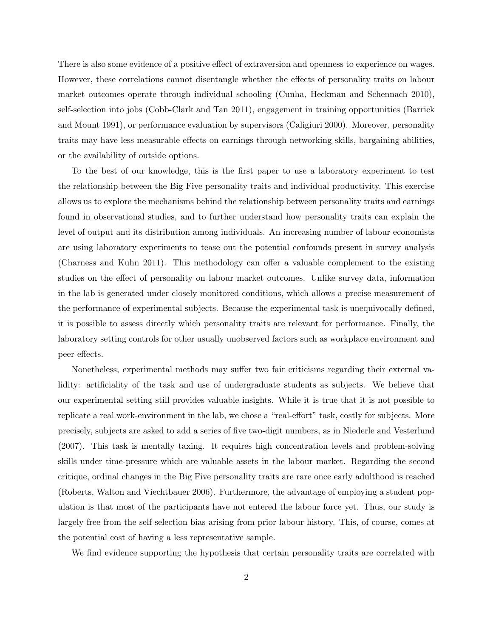There is also some evidence of a positive effect of extraversion and openness to experience on wages. However, these correlations cannot disentangle whether the effects of personality traits on labour market outcomes operate through individual schooling (Cunha, Heckman and Schennach 2010), self-selection into jobs (Cobb-Clark and Tan 2011), engagement in training opportunities (Barrick and Mount 1991), or performance evaluation by supervisors (Caligiuri 2000). Moreover, personality traits may have less measurable effects on earnings through networking skills, bargaining abilities, or the availability of outside options.

To the best of our knowledge, this is the first paper to use a laboratory experiment to test the relationship between the Big Five personality traits and individual productivity. This exercise allows us to explore the mechanisms behind the relationship between personality traits and earnings found in observational studies, and to further understand how personality traits can explain the level of output and its distribution among individuals. An increasing number of labour economists are using laboratory experiments to tease out the potential confounds present in survey analysis (Charness and Kuhn 2011). This methodology can offer a valuable complement to the existing studies on the effect of personality on labour market outcomes. Unlike survey data, information in the lab is generated under closely monitored conditions, which allows a precise measurement of the performance of experimental subjects. Because the experimental task is unequivocally defined, it is possible to assess directly which personality traits are relevant for performance. Finally, the laboratory setting controls for other usually unobserved factors such as workplace environment and peer effects.

Nonetheless, experimental methods may suffer two fair criticisms regarding their external validity: artificiality of the task and use of undergraduate students as subjects. We believe that our experimental setting still provides valuable insights. While it is true that it is not possible to replicate a real work-environment in the lab, we chose a "real-effort" task, costly for subjects. More precisely, subjects are asked to add a series of five two-digit numbers, as in Niederle and Vesterlund (2007). This task is mentally taxing. It requires high concentration levels and problem-solving skills under time-pressure which are valuable assets in the labour market. Regarding the second critique, ordinal changes in the Big Five personality traits are rare once early adulthood is reached (Roberts, Walton and Viechtbauer 2006). Furthermore, the advantage of employing a student population is that most of the participants have not entered the labour force yet. Thus, our study is largely free from the self-selection bias arising from prior labour history. This, of course, comes at the potential cost of having a less representative sample.

We find evidence supporting the hypothesis that certain personality traits are correlated with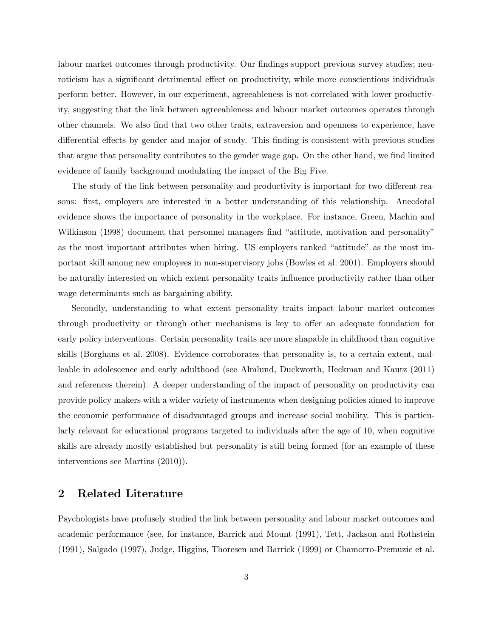labour market outcomes through productivity. Our findings support previous survey studies; neuroticism has a significant detrimental effect on productivity, while more conscientious individuals perform better. However, in our experiment, agreeableness is not correlated with lower productivity, suggesting that the link between agreeableness and labour market outcomes operates through other channels. We also find that two other traits, extraversion and openness to experience, have differential effects by gender and major of study. This finding is consistent with previous studies that argue that personality contributes to the gender wage gap. On the other hand, we find limited evidence of family background modulating the impact of the Big Five.

The study of the link between personality and productivity is important for two different reasons: first, employers are interested in a better understanding of this relationship. Anecdotal evidence shows the importance of personality in the workplace. For instance, Green, Machin and Wilkinson (1998) document that personnel managers find "attitude, motivation and personality" as the most important attributes when hiring. US employers ranked "attitude" as the most important skill among new employees in non-supervisory jobs (Bowles et al. 2001). Employers should be naturally interested on which extent personality traits influence productivity rather than other wage determinants such as bargaining ability.

Secondly, understanding to what extent personality traits impact labour market outcomes through productivity or through other mechanisms is key to offer an adequate foundation for early policy interventions. Certain personality traits are more shapable in childhood than cognitive skills (Borghans et al. 2008). Evidence corroborates that personality is, to a certain extent, malleable in adolescence and early adulthood (see Almlund, Duckworth, Heckman and Kautz (2011) and references therein). A deeper understanding of the impact of personality on productivity can provide policy makers with a wider variety of instruments when designing policies aimed to improve the economic performance of disadvantaged groups and increase social mobility. This is particularly relevant for educational programs targeted to individuals after the age of 10, when cognitive skills are already mostly established but personality is still being formed (for an example of these interventions see Martins (2010)).

#### 2 Related Literature

Psychologists have profusely studied the link between personality and labour market outcomes and academic performance (see, for instance, Barrick and Mount (1991), Tett, Jackson and Rothstein (1991), Salgado (1997), Judge, Higgins, Thoresen and Barrick (1999) or Chamorro-Premuzic et al.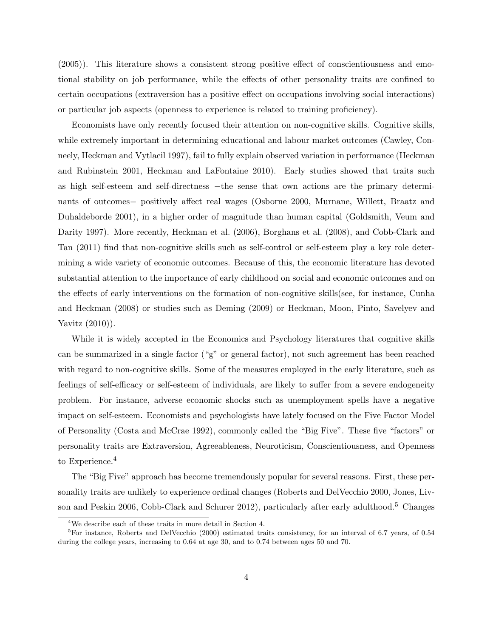(2005)). This literature shows a consistent strong positive effect of conscientiousness and emotional stability on job performance, while the effects of other personality traits are confined to certain occupations (extraversion has a positive effect on occupations involving social interactions) or particular job aspects (openness to experience is related to training proficiency).

Economists have only recently focused their attention on non-cognitive skills. Cognitive skills, while extremely important in determining educational and labour market outcomes (Cawley, Conneely, Heckman and Vytlacil 1997), fail to fully explain observed variation in performance (Heckman and Rubinstein 2001, Heckman and LaFontaine 2010). Early studies showed that traits such as high self-esteem and self-directness −the sense that own actions are the primary determinants of outcomes− positively affect real wages (Osborne 2000, Murnane, Willett, Braatz and Duhaldeborde 2001), in a higher order of magnitude than human capital (Goldsmith, Veum and Darity 1997). More recently, Heckman et al. (2006), Borghans et al. (2008), and Cobb-Clark and Tan (2011) find that non-cognitive skills such as self-control or self-esteem play a key role determining a wide variety of economic outcomes. Because of this, the economic literature has devoted substantial attention to the importance of early childhood on social and economic outcomes and on the effects of early interventions on the formation of non-cognitive skills(see, for instance, Cunha and Heckman (2008) or studies such as Deming (2009) or Heckman, Moon, Pinto, Savelyev and Yavitz (2010)).

While it is widely accepted in the Economics and Psychology literatures that cognitive skills can be summarized in a single factor ("g" or general factor), not such agreement has been reached with regard to non-cognitive skills. Some of the measures employed in the early literature, such as feelings of self-efficacy or self-esteem of individuals, are likely to suffer from a severe endogeneity problem. For instance, adverse economic shocks such as unemployment spells have a negative impact on self-esteem. Economists and psychologists have lately focused on the Five Factor Model of Personality (Costa and McCrae 1992), commonly called the "Big Five". These five "factors" or personality traits are Extraversion, Agreeableness, Neuroticism, Conscientiousness, and Openness to Experience.<sup>4</sup>

The "Big Five" approach has become tremendously popular for several reasons. First, these personality traits are unlikely to experience ordinal changes (Roberts and DelVecchio 2000, Jones, Livson and Peskin 2006, Cobb-Clark and Schurer 2012), particularly after early adulthood.<sup>5</sup> Changes

<sup>4</sup>We describe each of these traits in more detail in Section 4.

 ${}^{5}$ For instance, Roberts and DelVecchio (2000) estimated traits consistency, for an interval of 6.7 years, of 0.54 during the college years, increasing to 0.64 at age 30, and to 0.74 between ages 50 and 70.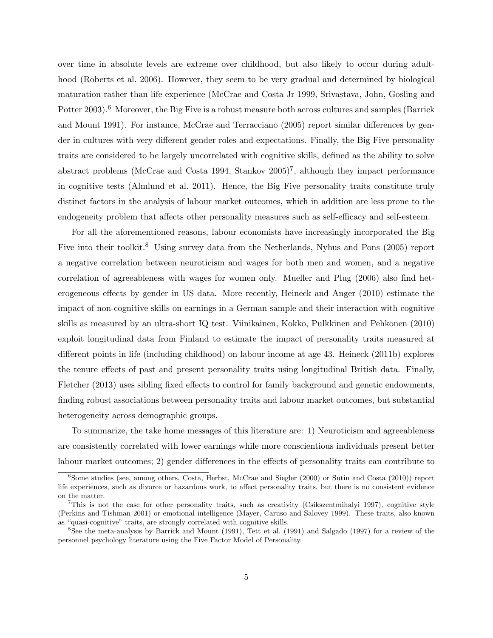over time in absolute levels are extreme over childhood, but also likely to occur during adulthood (Roberts et al. 2006). However, they seem to be very gradual and determined by biological maturation rather than life experience (McCrae and Costa Jr 1999, Srivastava, John, Gosling and Potter 2003).<sup>6</sup> Moreover, the Big Five is a robust measure both across cultures and samples (Barrick and Mount 1991). For instance, McCrae and Terracciano (2005) report similar differences by gender in cultures with very different gender roles and expectations. Finally, the Big Five personality traits are considered to be largely uncorrelated with cognitive skills, defined as the ability to solve abstract problems (McCrae and Costa 1994, Stankov  $2005$ )<sup>7</sup>, although they impact performance in cognitive tests (Almlund et al. 2011). Hence, the Big Five personality traits constitute truly distinct factors in the analysis of labour market outcomes, which in addition are less prone to the endogeneity problem that affects other personality measures such as self-efficacy and self-esteem.

For all the aforementioned reasons, labour economists have increasingly incorporated the Big Five into their toolkit.<sup>8</sup> Using survey data from the Netherlands, Nyhus and Pons (2005) report a negative correlation between neuroticism and wages for both men and women, and a negative correlation of agreeableness with wages for women only. Mueller and Plug (2006) also find heterogeneous effects by gender in US data. More recently, Heineck and Anger (2010) estimate the impact of non-cognitive skills on earnings in a German sample and their interaction with cognitive skills as measured by an ultra-short IQ test. Viinikainen, Kokko, Pulkkinen and Pehkonen (2010) exploit longitudinal data from Finland to estimate the impact of personality traits measured at different points in life (including childhood) on labour income at age 43. Heineck (2011b) explores the tenure effects of past and present personality traits using longitudinal British data. Finally, Fletcher (2013) uses sibling fixed effects to control for family background and genetic endowments, finding robust associations between personality traits and labour market outcomes, but substantial heterogeneity across demographic groups.

To summarize, the take home messages of this literature are: 1) Neuroticism and agreeableness are consistently correlated with lower earnings while more conscientious individuals present better labour market outcomes; 2) gender differences in the effects of personality traits can contribute to

<sup>&</sup>lt;sup>6</sup>Some studies (see, among others, Costa, Herbst, McCrae and Siegler (2000) or Sutin and Costa (2010)) report life experiences, such as divorce or hazardous work, to affect personality traits, but there is no consistent evidence on the matter.

<sup>7</sup>This is not the case for other personality traits, such as creativity (Csikszentmihalyi 1997), cognitive style (Perkins and Tishman 2001) or emotional intelligence (Mayer, Caruso and Salovey 1999). These traits, also known as "quasi-cognitive" traits, are strongly correlated with cognitive skills.

<sup>8</sup>See the meta-analysis by Barrick and Mount (1991), Tett et al. (1991) and Salgado (1997) for a review of the personnel psychology literature using the Five Factor Model of Personality.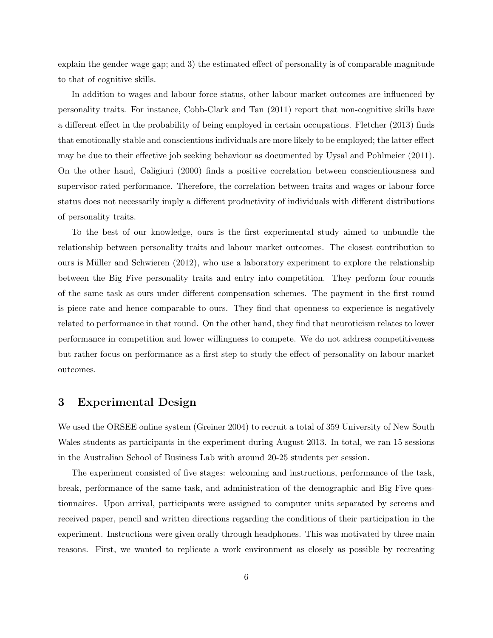explain the gender wage gap; and 3) the estimated effect of personality is of comparable magnitude to that of cognitive skills.

In addition to wages and labour force status, other labour market outcomes are influenced by personality traits. For instance, Cobb-Clark and Tan (2011) report that non-cognitive skills have a different effect in the probability of being employed in certain occupations. Fletcher (2013) finds that emotionally stable and conscientious individuals are more likely to be employed; the latter effect may be due to their effective job seeking behaviour as documented by Uysal and Pohlmeier (2011). On the other hand, Caligiuri (2000) finds a positive correlation between conscientiousness and supervisor-rated performance. Therefore, the correlation between traits and wages or labour force status does not necessarily imply a different productivity of individuals with different distributions of personality traits.

To the best of our knowledge, ours is the first experimental study aimed to unbundle the relationship between personality traits and labour market outcomes. The closest contribution to ours is Müller and Schwieren (2012), who use a laboratory experiment to explore the relationship between the Big Five personality traits and entry into competition. They perform four rounds of the same task as ours under different compensation schemes. The payment in the first round is piece rate and hence comparable to ours. They find that openness to experience is negatively related to performance in that round. On the other hand, they find that neuroticism relates to lower performance in competition and lower willingness to compete. We do not address competitiveness but rather focus on performance as a first step to study the effect of personality on labour market outcomes.

#### 3 Experimental Design

We used the ORSEE online system (Greiner 2004) to recruit a total of 359 University of New South Wales students as participants in the experiment during August 2013. In total, we ran 15 sessions in the Australian School of Business Lab with around 20-25 students per session.

The experiment consisted of five stages: welcoming and instructions, performance of the task, break, performance of the same task, and administration of the demographic and Big Five questionnaires. Upon arrival, participants were assigned to computer units separated by screens and received paper, pencil and written directions regarding the conditions of their participation in the experiment. Instructions were given orally through headphones. This was motivated by three main reasons. First, we wanted to replicate a work environment as closely as possible by recreating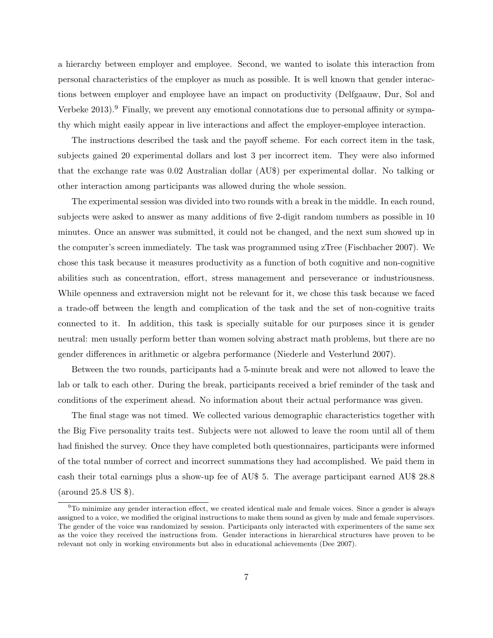a hierarchy between employer and employee. Second, we wanted to isolate this interaction from personal characteristics of the employer as much as possible. It is well known that gender interactions between employer and employee have an impact on productivity (Delfgaauw, Dur, Sol and Verbeke 2013).<sup>9</sup> Finally, we prevent any emotional connotations due to personal affinity or sympathy which might easily appear in live interactions and affect the employer-employee interaction.

The instructions described the task and the payoff scheme. For each correct item in the task, subjects gained 20 experimental dollars and lost 3 per incorrect item. They were also informed that the exchange rate was 0.02 Australian dollar (AU\$) per experimental dollar. No talking or other interaction among participants was allowed during the whole session.

The experimental session was divided into two rounds with a break in the middle. In each round, subjects were asked to answer as many additions of five 2-digit random numbers as possible in 10 minutes. Once an answer was submitted, it could not be changed, and the next sum showed up in the computer's screen immediately. The task was programmed using zTree (Fischbacher 2007). We chose this task because it measures productivity as a function of both cognitive and non-cognitive abilities such as concentration, effort, stress management and perseverance or industriousness. While openness and extraversion might not be relevant for it, we chose this task because we faced a trade-off between the length and complication of the task and the set of non-cognitive traits connected to it. In addition, this task is specially suitable for our purposes since it is gender neutral: men usually perform better than women solving abstract math problems, but there are no gender differences in arithmetic or algebra performance (Niederle and Vesterlund 2007).

Between the two rounds, participants had a 5-minute break and were not allowed to leave the lab or talk to each other. During the break, participants received a brief reminder of the task and conditions of the experiment ahead. No information about their actual performance was given.

The final stage was not timed. We collected various demographic characteristics together with the Big Five personality traits test. Subjects were not allowed to leave the room until all of them had finished the survey. Once they have completed both questionnaires, participants were informed of the total number of correct and incorrect summations they had accomplished. We paid them in cash their total earnings plus a show-up fee of AU\$ 5. The average participant earned AU\$ 28.8 (around 25.8 US \$).

 $9T<sup>9</sup>$ To minimize any gender interaction effect, we created identical male and female voices. Since a gender is always assigned to a voice, we modified the original instructions to make them sound as given by male and female supervisors. The gender of the voice was randomized by session. Participants only interacted with experimenters of the same sex as the voice they received the instructions from. Gender interactions in hierarchical structures have proven to be relevant not only in working environments but also in educational achievements (Dee 2007).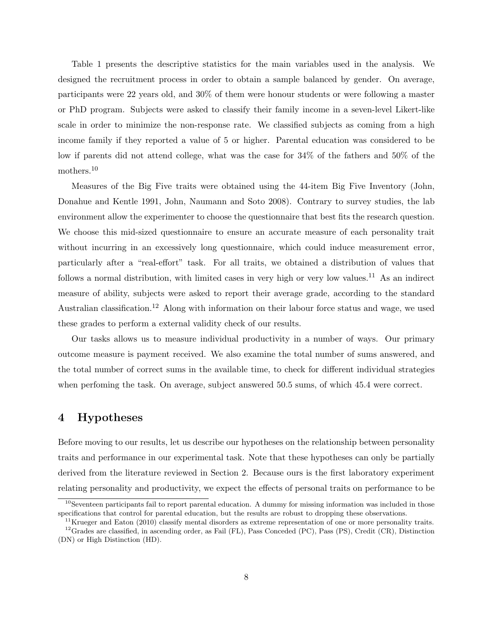Table 1 presents the descriptive statistics for the main variables used in the analysis. We designed the recruitment process in order to obtain a sample balanced by gender. On average, participants were 22 years old, and 30% of them were honour students or were following a master or PhD program. Subjects were asked to classify their family income in a seven-level Likert-like scale in order to minimize the non-response rate. We classified subjects as coming from a high income family if they reported a value of 5 or higher. Parental education was considered to be low if parents did not attend college, what was the case for 34% of the fathers and 50% of the mothers.<sup>10</sup>

Measures of the Big Five traits were obtained using the 44-item Big Five Inventory (John, Donahue and Kentle 1991, John, Naumann and Soto 2008). Contrary to survey studies, the lab environment allow the experimenter to choose the questionnaire that best fits the research question. We choose this mid-sized questionnaire to ensure an accurate measure of each personality trait without incurring in an excessively long questionnaire, which could induce measurement error, particularly after a "real-effort" task. For all traits, we obtained a distribution of values that follows a normal distribution, with limited cases in very high or very low values.<sup>11</sup> As an indirect measure of ability, subjects were asked to report their average grade, according to the standard Australian classification.<sup>12</sup> Along with information on their labour force status and wage, we used these grades to perform a external validity check of our results.

Our tasks allows us to measure individual productivity in a number of ways. Our primary outcome measure is payment received. We also examine the total number of sums answered, and the total number of correct sums in the available time, to check for different individual strategies when perfoming the task. On average, subject answered 50.5 sums, of which 45.4 were correct.

#### 4 Hypotheses

Before moving to our results, let us describe our hypotheses on the relationship between personality traits and performance in our experimental task. Note that these hypotheses can only be partially derived from the literature reviewed in Section 2. Because ours is the first laboratory experiment relating personality and productivity, we expect the effects of personal traits on performance to be

 $10$ Seventeen participants fail to report parental education. A dummy for missing information was included in those specifications that control for parental education, but the results are robust to dropping these observations.

 $11$ Krueger and Eaton (2010) classify mental disorders as extreme representation of one or more personality traits. <sup>12</sup>Grades are classified, in ascending order, as Fail (FL), Pass Conceded (PC), Pass (PS), Credit (CR), Distinction (DN) or High Distinction (HD).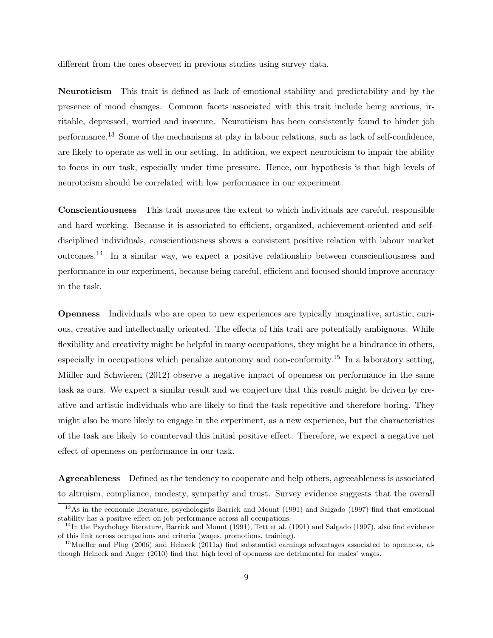different from the ones observed in previous studies using survey data.

Neuroticism This trait is defined as lack of emotional stability and predictability and by the presence of mood changes. Common facets associated with this trait include being anxious, irritable, depressed, worried and insecure. Neuroticism has been consistently found to hinder job performance.<sup>13</sup> Some of the mechanisms at play in labour relations, such as lack of self-confidence, are likely to operate as well in our setting. In addition, we expect neuroticism to impair the ability to focus in our task, especially under time pressure. Hence, our hypothesis is that high levels of neuroticism should be correlated with low performance in our experiment.

Conscientiousness This trait measures the extent to which individuals are careful, responsible and hard working. Because it is associated to efficient, organized, achievement-oriented and selfdisciplined individuals, conscientiousness shows a consistent positive relation with labour market outcomes.<sup>14</sup> In a similar way, we expect a positive relationship between conscientiousness and performance in our experiment, because being careful, efficient and focused should improve accuracy in the task.

Openness Individuals who are open to new experiences are typically imaginative, artistic, curious, creative and intellectually oriented. The effects of this trait are potentially ambiguous. While flexibility and creativity might be helpful in many occupations, they might be a hindrance in others, especially in occupations which penalize autonomy and non-conformity.<sup>15</sup> In a laboratory setting, Müller and Schwieren (2012) observe a negative impact of openness on performance in the same task as ours. We expect a similar result and we conjecture that this result might be driven by creative and artistic individuals who are likely to find the task repetitive and therefore boring. They might also be more likely to engage in the experiment, as a new experience, but the characteristics of the task are likely to countervail this initial positive effect. Therefore, we expect a negative net effect of openness on performance in our task.

Agreeableness Defined as the tendency to cooperate and help others, agreeableness is associated to altruism, compliance, modesty, sympathy and trust. Survey evidence suggests that the overall

<sup>13</sup>As in the economic literature, psychologists Barrick and Mount (1991) and Salgado (1997) find that emotional stability has a positive effect on job performance across all occupations.

 $14$ In the Psychology literature, Barrick and Mount (1991), Tett et al. (1991) and Salgado (1997), also find evidence of this link across occupations and criteria (wages, promotions, training).

<sup>&</sup>lt;sup>15</sup>Mueller and Plug (2006) and Heineck (2011a) find substantial earnings advantages associated to openness, although Heineck and Anger (2010) find that high level of openness are detrimental for males' wages.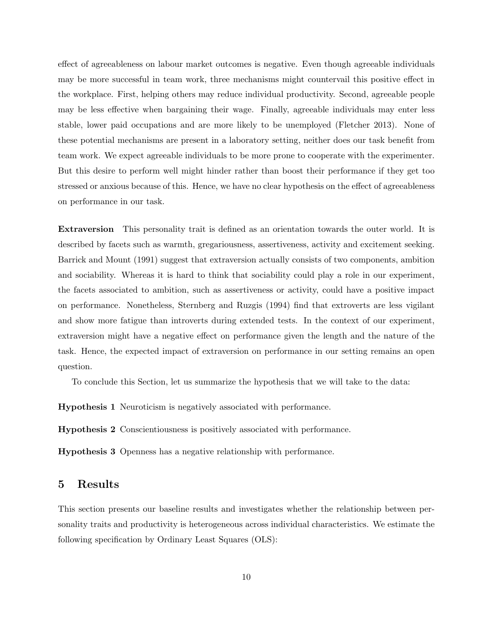effect of agreeableness on labour market outcomes is negative. Even though agreeable individuals may be more successful in team work, three mechanisms might countervail this positive effect in the workplace. First, helping others may reduce individual productivity. Second, agreeable people may be less effective when bargaining their wage. Finally, agreeable individuals may enter less stable, lower paid occupations and are more likely to be unemployed (Fletcher 2013). None of these potential mechanisms are present in a laboratory setting, neither does our task benefit from team work. We expect agreeable individuals to be more prone to cooperate with the experimenter. But this desire to perform well might hinder rather than boost their performance if they get too stressed or anxious because of this. Hence, we have no clear hypothesis on the effect of agreeableness on performance in our task.

Extraversion This personality trait is defined as an orientation towards the outer world. It is described by facets such as warmth, gregariousness, assertiveness, activity and excitement seeking. Barrick and Mount (1991) suggest that extraversion actually consists of two components, ambition and sociability. Whereas it is hard to think that sociability could play a role in our experiment, the facets associated to ambition, such as assertiveness or activity, could have a positive impact on performance. Nonetheless, Sternberg and Ruzgis (1994) find that extroverts are less vigilant and show more fatigue than introverts during extended tests. In the context of our experiment, extraversion might have a negative effect on performance given the length and the nature of the task. Hence, the expected impact of extraversion on performance in our setting remains an open question.

To conclude this Section, let us summarize the hypothesis that we will take to the data:

Hypothesis 1 Neuroticism is negatively associated with performance.

Hypothesis 2 Conscientiousness is positively associated with performance.

Hypothesis 3 Openness has a negative relationship with performance.

### 5 Results

This section presents our baseline results and investigates whether the relationship between personality traits and productivity is heterogeneous across individual characteristics. We estimate the following specification by Ordinary Least Squares (OLS):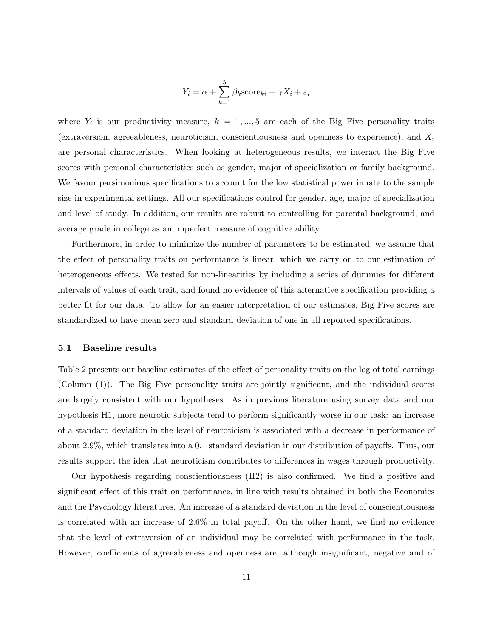$$
Y_i = \alpha + \sum_{k=1}^{5} \beta_k \text{score}_{ki} + \gamma X_i + \varepsilon_i
$$

where  $Y_i$  is our productivity measure,  $k = 1, ..., 5$  are each of the Big Five personality traits (extraversion, agreeableness, neuroticism, conscientiousness and openness to experience), and  $X_i$ are personal characteristics. When looking at heterogeneous results, we interact the Big Five scores with personal characteristics such as gender, major of specialization or family background. We favour parsimonious specifications to account for the low statistical power innate to the sample size in experimental settings. All our specifications control for gender, age, major of specialization and level of study. In addition, our results are robust to controlling for parental background, and average grade in college as an imperfect measure of cognitive ability.

Furthermore, in order to minimize the number of parameters to be estimated, we assume that the effect of personality traits on performance is linear, which we carry on to our estimation of heterogeneous effects. We tested for non-linearities by including a series of dummies for different intervals of values of each trait, and found no evidence of this alternative specification providing a better fit for our data. To allow for an easier interpretation of our estimates, Big Five scores are standardized to have mean zero and standard deviation of one in all reported specifications.

#### 5.1 Baseline results

Table 2 presents our baseline estimates of the effect of personality traits on the log of total earnings (Column (1)). The Big Five personality traits are jointly significant, and the individual scores are largely consistent with our hypotheses. As in previous literature using survey data and our hypothesis H1, more neurotic subjects tend to perform significantly worse in our task: an increase of a standard deviation in the level of neuroticism is associated with a decrease in performance of about 2.9%, which translates into a 0.1 standard deviation in our distribution of payoffs. Thus, our results support the idea that neuroticism contributes to differences in wages through productivity.

Our hypothesis regarding conscientiousness (H2) is also confirmed. We find a positive and significant effect of this trait on performance, in line with results obtained in both the Economics and the Psychology literatures. An increase of a standard deviation in the level of conscientiousness is correlated with an increase of 2.6% in total payoff. On the other hand, we find no evidence that the level of extraversion of an individual may be correlated with performance in the task. However, coefficients of agreeableness and openness are, although insignificant, negative and of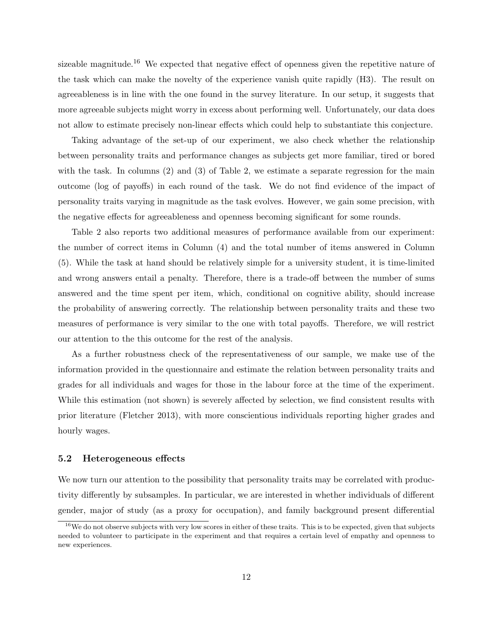sizeable magnitude.<sup>16</sup> We expected that negative effect of openness given the repetitive nature of the task which can make the novelty of the experience vanish quite rapidly (H3). The result on agreeableness is in line with the one found in the survey literature. In our setup, it suggests that more agreeable subjects might worry in excess about performing well. Unfortunately, our data does not allow to estimate precisely non-linear effects which could help to substantiate this conjecture.

Taking advantage of the set-up of our experiment, we also check whether the relationship between personality traits and performance changes as subjects get more familiar, tired or bored with the task. In columns (2) and (3) of Table 2, we estimate a separate regression for the main outcome (log of payoffs) in each round of the task. We do not find evidence of the impact of personality traits varying in magnitude as the task evolves. However, we gain some precision, with the negative effects for agreeableness and openness becoming significant for some rounds.

Table 2 also reports two additional measures of performance available from our experiment: the number of correct items in Column (4) and the total number of items answered in Column (5). While the task at hand should be relatively simple for a university student, it is time-limited and wrong answers entail a penalty. Therefore, there is a trade-off between the number of sums answered and the time spent per item, which, conditional on cognitive ability, should increase the probability of answering correctly. The relationship between personality traits and these two measures of performance is very similar to the one with total payoffs. Therefore, we will restrict our attention to the this outcome for the rest of the analysis.

As a further robustness check of the representativeness of our sample, we make use of the information provided in the questionnaire and estimate the relation between personality traits and grades for all individuals and wages for those in the labour force at the time of the experiment. While this estimation (not shown) is severely affected by selection, we find consistent results with prior literature (Fletcher 2013), with more conscientious individuals reporting higher grades and hourly wages.

#### 5.2 Heterogeneous effects

We now turn our attention to the possibility that personality traits may be correlated with productivity differently by subsamples. In particular, we are interested in whether individuals of different gender, major of study (as a proxy for occupation), and family background present differential

 $16$ We do not observe subjects with very low scores in either of these traits. This is to be expected, given that subjects needed to volunteer to participate in the experiment and that requires a certain level of empathy and openness to new experiences.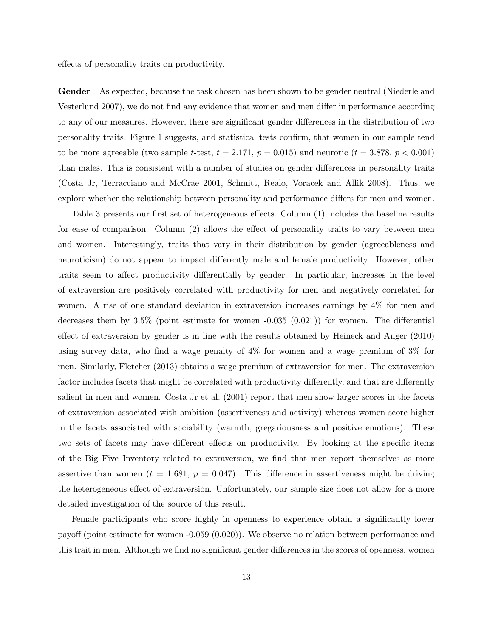effects of personality traits on productivity.

Gender As expected, because the task chosen has been shown to be gender neutral (Niederle and Vesterlund 2007), we do not find any evidence that women and men differ in performance according to any of our measures. However, there are significant gender differences in the distribution of two personality traits. Figure 1 suggests, and statistical tests confirm, that women in our sample tend to be more agreeable (two sample t-test,  $t = 2.171$ ,  $p = 0.015$ ) and neurotic ( $t = 3.878$ ,  $p < 0.001$ ) than males. This is consistent with a number of studies on gender differences in personality traits (Costa Jr, Terracciano and McCrae 2001, Schmitt, Realo, Voracek and Allik 2008). Thus, we explore whether the relationship between personality and performance differs for men and women.

Table 3 presents our first set of heterogeneous effects. Column (1) includes the baseline results for ease of comparison. Column (2) allows the effect of personality traits to vary between men and women. Interestingly, traits that vary in their distribution by gender (agreeableness and neuroticism) do not appear to impact differently male and female productivity. However, other traits seem to affect productivity differentially by gender. In particular, increases in the level of extraversion are positively correlated with productivity for men and negatively correlated for women. A rise of one standard deviation in extraversion increases earnings by 4% for men and decreases them by  $3.5\%$  (point estimate for women  $-0.035$   $(0.021)$ ) for women. The differential effect of extraversion by gender is in line with the results obtained by Heineck and Anger (2010) using survey data, who find a wage penalty of 4% for women and a wage premium of 3% for men. Similarly, Fletcher (2013) obtains a wage premium of extraversion for men. The extraversion factor includes facets that might be correlated with productivity differently, and that are differently salient in men and women. Costa Jr et al. (2001) report that men show larger scores in the facets of extraversion associated with ambition (assertiveness and activity) whereas women score higher in the facets associated with sociability (warmth, gregariousness and positive emotions). These two sets of facets may have different effects on productivity. By looking at the specific items of the Big Five Inventory related to extraversion, we find that men report themselves as more assertive than women  $(t = 1.681, p = 0.047)$ . This difference in assertiveness might be driving the heterogeneous effect of extraversion. Unfortunately, our sample size does not allow for a more detailed investigation of the source of this result.

Female participants who score highly in openness to experience obtain a significantly lower payoff (point estimate for women -0.059 (0.020)). We observe no relation between performance and this trait in men. Although we find no significant gender differences in the scores of openness, women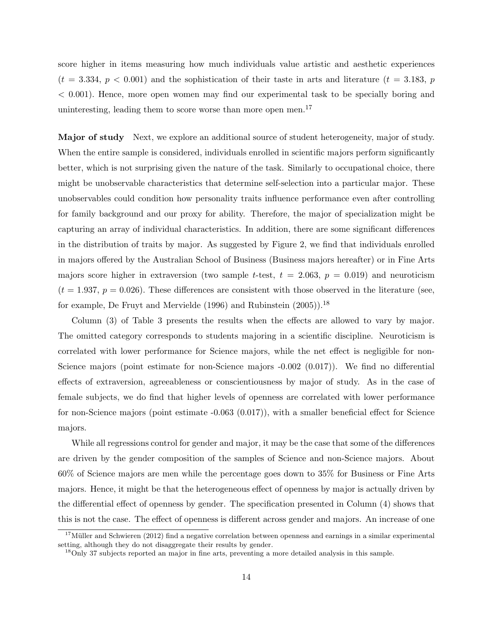score higher in items measuring how much individuals value artistic and aesthetic experiences  $(t = 3.334, p < 0.001)$  and the sophistication of their taste in arts and literature  $(t = 3.183, p$ < 0.001). Hence, more open women may find our experimental task to be specially boring and uninteresting, leading them to score worse than more open men.<sup>17</sup>

Major of study Next, we explore an additional source of student heterogeneity, major of study. When the entire sample is considered, individuals enrolled in scientific majors perform significantly better, which is not surprising given the nature of the task. Similarly to occupational choice, there might be unobservable characteristics that determine self-selection into a particular major. These unobservables could condition how personality traits influence performance even after controlling for family background and our proxy for ability. Therefore, the major of specialization might be capturing an array of individual characteristics. In addition, there are some significant differences in the distribution of traits by major. As suggested by Figure 2, we find that individuals enrolled in majors offered by the Australian School of Business (Business majors hereafter) or in Fine Arts majors score higher in extraversion (two sample t-test,  $t = 2.063$ ,  $p = 0.019$ ) and neuroticism  $(t = 1.937, p = 0.026)$ . These differences are consistent with those observed in the literature (see, for example, De Fruyt and Mervielde (1996) and Rubinstein (2005)).<sup>18</sup>

Column (3) of Table 3 presents the results when the effects are allowed to vary by major. The omitted category corresponds to students majoring in a scientific discipline. Neuroticism is correlated with lower performance for Science majors, while the net effect is negligible for non-Science majors (point estimate for non-Science majors  $-0.002$  (0.017)). We find no differential effects of extraversion, agreeableness or conscientiousness by major of study. As in the case of female subjects, we do find that higher levels of openness are correlated with lower performance for non-Science majors (point estimate -0.063 (0.017)), with a smaller beneficial effect for Science majors.

While all regressions control for gender and major, it may be the case that some of the differences are driven by the gender composition of the samples of Science and non-Science majors. About 60% of Science majors are men while the percentage goes down to 35% for Business or Fine Arts majors. Hence, it might be that the heterogeneous effect of openness by major is actually driven by the differential effect of openness by gender. The specification presented in Column (4) shows that this is not the case. The effect of openness is different across gender and majors. An increase of one

<sup>&</sup>lt;sup>17</sup>Müller and Schwieren (2012) find a negative correlation between openness and earnings in a similar experimental setting, although they do not disaggregate their results by gender.

<sup>&</sup>lt;sup>18</sup>Only 37 subjects reported an major in fine arts, preventing a more detailed analysis in this sample.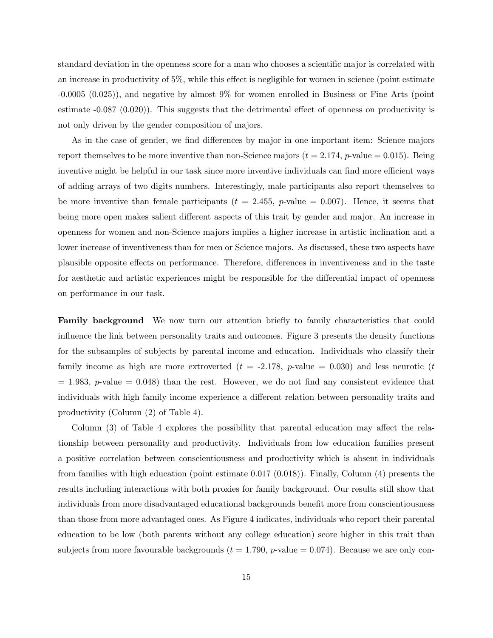standard deviation in the openness score for a man who chooses a scientific major is correlated with an increase in productivity of 5%, while this effect is negligible for women in science (point estimate -0.0005 (0.025)), and negative by almost 9% for women enrolled in Business or Fine Arts (point estimate -0.087 (0.020)). This suggests that the detrimental effect of openness on productivity is not only driven by the gender composition of majors.

As in the case of gender, we find differences by major in one important item: Science majors report themselves to be more inventive than non-Science majors  $(t = 2.174, p$ -value = 0.015). Being inventive might be helpful in our task since more inventive individuals can find more efficient ways of adding arrays of two digits numbers. Interestingly, male participants also report themselves to be more inventive than female participants ( $t = 2.455$ , p-value = 0.007). Hence, it seems that being more open makes salient different aspects of this trait by gender and major. An increase in openness for women and non-Science majors implies a higher increase in artistic inclination and a lower increase of inventiveness than for men or Science majors. As discussed, these two aspects have plausible opposite effects on performance. Therefore, differences in inventiveness and in the taste for aesthetic and artistic experiences might be responsible for the differential impact of openness on performance in our task.

Family background We now turn our attention briefly to family characteristics that could influence the link between personality traits and outcomes. Figure 3 presents the density functions for the subsamples of subjects by parental income and education. Individuals who classify their family income as high are more extroverted  $(t = -2.178, p-value = 0.030)$  and less neurotic  $(t$  $= 1.983$ , p-value  $= 0.048$ ) than the rest. However, we do not find any consistent evidence that individuals with high family income experience a different relation between personality traits and productivity (Column (2) of Table 4).

Column (3) of Table 4 explores the possibility that parental education may affect the relationship between personality and productivity. Individuals from low education families present a positive correlation between conscientiousness and productivity which is absent in individuals from families with high education (point estimate 0.017 (0.018)). Finally, Column (4) presents the results including interactions with both proxies for family background. Our results still show that individuals from more disadvantaged educational backgrounds benefit more from conscientiousness than those from more advantaged ones. As Figure 4 indicates, individuals who report their parental education to be low (both parents without any college education) score higher in this trait than subjects from more favourable backgrounds  $(t = 1.790, p$ -value  $= 0.074$ ). Because we are only con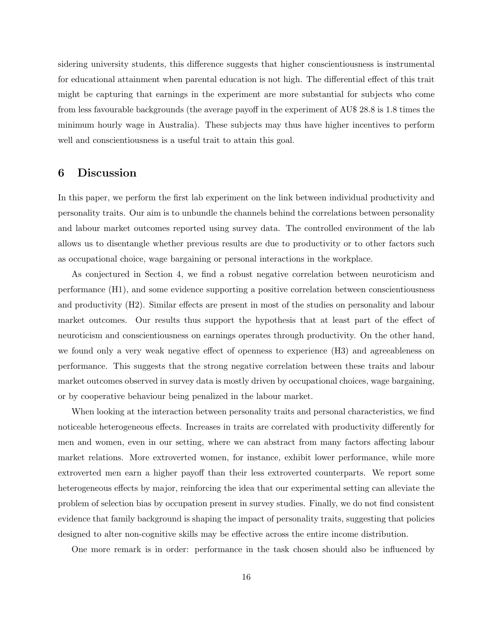sidering university students, this difference suggests that higher conscientiousness is instrumental for educational attainment when parental education is not high. The differential effect of this trait might be capturing that earnings in the experiment are more substantial for subjects who come from less favourable backgrounds (the average payoff in the experiment of AU\$ 28.8 is 1.8 times the minimum hourly wage in Australia). These subjects may thus have higher incentives to perform well and conscientiousness is a useful trait to attain this goal.

### 6 Discussion

In this paper, we perform the first lab experiment on the link between individual productivity and personality traits. Our aim is to unbundle the channels behind the correlations between personality and labour market outcomes reported using survey data. The controlled environment of the lab allows us to disentangle whether previous results are due to productivity or to other factors such as occupational choice, wage bargaining or personal interactions in the workplace.

As conjectured in Section 4, we find a robust negative correlation between neuroticism and performance (H1), and some evidence supporting a positive correlation between conscientiousness and productivity (H2). Similar effects are present in most of the studies on personality and labour market outcomes. Our results thus support the hypothesis that at least part of the effect of neuroticism and conscientiousness on earnings operates through productivity. On the other hand, we found only a very weak negative effect of openness to experience (H3) and agreeableness on performance. This suggests that the strong negative correlation between these traits and labour market outcomes observed in survey data is mostly driven by occupational choices, wage bargaining, or by cooperative behaviour being penalized in the labour market.

When looking at the interaction between personality traits and personal characteristics, we find noticeable heterogeneous effects. Increases in traits are correlated with productivity differently for men and women, even in our setting, where we can abstract from many factors affecting labour market relations. More extroverted women, for instance, exhibit lower performance, while more extroverted men earn a higher payoff than their less extroverted counterparts. We report some heterogeneous effects by major, reinforcing the idea that our experimental setting can alleviate the problem of selection bias by occupation present in survey studies. Finally, we do not find consistent evidence that family background is shaping the impact of personality traits, suggesting that policies designed to alter non-cognitive skills may be effective across the entire income distribution.

One more remark is in order: performance in the task chosen should also be influenced by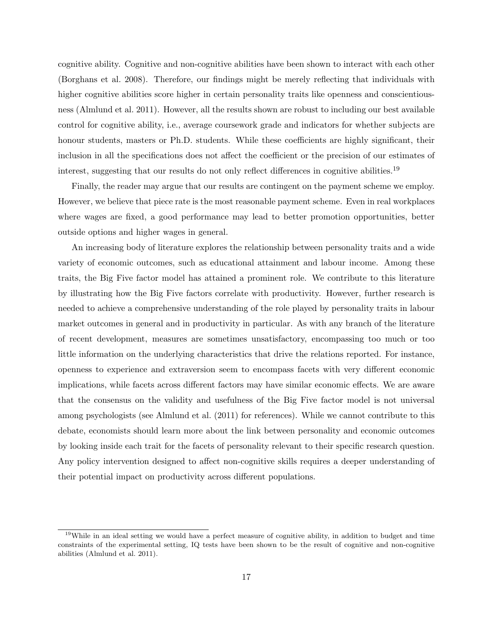cognitive ability. Cognitive and non-cognitive abilities have been shown to interact with each other (Borghans et al. 2008). Therefore, our findings might be merely reflecting that individuals with higher cognitive abilities score higher in certain personality traits like openness and conscientiousness (Almlund et al. 2011). However, all the results shown are robust to including our best available control for cognitive ability, i.e., average coursework grade and indicators for whether subjects are honour students, masters or Ph.D. students. While these coefficients are highly significant, their inclusion in all the specifications does not affect the coefficient or the precision of our estimates of interest, suggesting that our results do not only reflect differences in cognitive abilities.<sup>19</sup>

Finally, the reader may argue that our results are contingent on the payment scheme we employ. However, we believe that piece rate is the most reasonable payment scheme. Even in real workplaces where wages are fixed, a good performance may lead to better promotion opportunities, better outside options and higher wages in general.

An increasing body of literature explores the relationship between personality traits and a wide variety of economic outcomes, such as educational attainment and labour income. Among these traits, the Big Five factor model has attained a prominent role. We contribute to this literature by illustrating how the Big Five factors correlate with productivity. However, further research is needed to achieve a comprehensive understanding of the role played by personality traits in labour market outcomes in general and in productivity in particular. As with any branch of the literature of recent development, measures are sometimes unsatisfactory, encompassing too much or too little information on the underlying characteristics that drive the relations reported. For instance, openness to experience and extraversion seem to encompass facets with very different economic implications, while facets across different factors may have similar economic effects. We are aware that the consensus on the validity and usefulness of the Big Five factor model is not universal among psychologists (see Almlund et al. (2011) for references). While we cannot contribute to this debate, economists should learn more about the link between personality and economic outcomes by looking inside each trait for the facets of personality relevant to their specific research question. Any policy intervention designed to affect non-cognitive skills requires a deeper understanding of their potential impact on productivity across different populations.

<sup>&</sup>lt;sup>19</sup>While in an ideal setting we would have a perfect measure of cognitive ability, in addition to budget and time constraints of the experimental setting, IQ tests have been shown to be the result of cognitive and non-cognitive abilities (Almlund et al. 2011).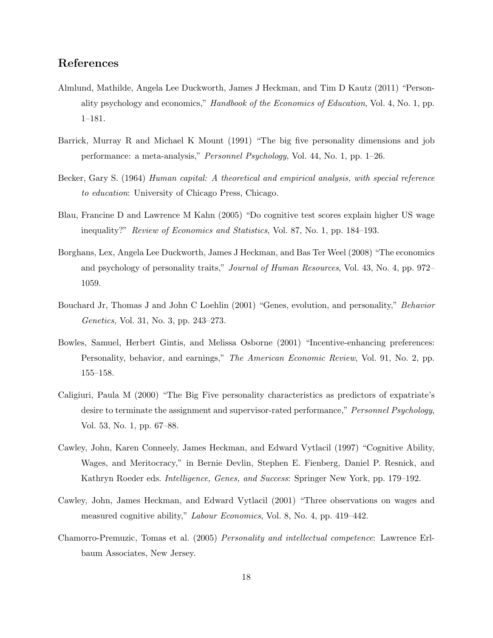### References

- Almlund, Mathilde, Angela Lee Duckworth, James J Heckman, and Tim D Kautz (2011) "Personality psychology and economics," Handbook of the Economics of Education, Vol. 4, No. 1, pp. 1–181.
- Barrick, Murray R and Michael K Mount (1991) "The big five personality dimensions and job performance: a meta-analysis," Personnel Psychology, Vol. 44, No. 1, pp. 1–26.
- Becker, Gary S. (1964) Human capital: A theoretical and empirical analysis, with special reference to education: University of Chicago Press, Chicago.
- Blau, Francine D and Lawrence M Kahn (2005) "Do cognitive test scores explain higher US wage inequality?" Review of Economics and Statistics, Vol. 87, No. 1, pp. 184–193.
- Borghans, Lex, Angela Lee Duckworth, James J Heckman, and Bas Ter Weel (2008) "The economics and psychology of personality traits," Journal of Human Resources, Vol. 43, No. 4, pp. 972– 1059.
- Bouchard Jr, Thomas J and John C Loehlin (2001) "Genes, evolution, and personality," Behavior Genetics, Vol. 31, No. 3, pp. 243–273.
- Bowles, Samuel, Herbert Gintis, and Melissa Osborne (2001) "Incentive-enhancing preferences: Personality, behavior, and earnings," The American Economic Review, Vol. 91, No. 2, pp. 155–158.
- Caligiuri, Paula M (2000) "The Big Five personality characteristics as predictors of expatriate's desire to terminate the assignment and supervisor-rated performance," Personnel Psychology, Vol. 53, No. 1, pp. 67–88.
- Cawley, John, Karen Conneely, James Heckman, and Edward Vytlacil (1997) "Cognitive Ability, Wages, and Meritocracy," in Bernie Devlin, Stephen E. Fienberg, Daniel P. Resnick, and Kathryn Roeder eds. Intelligence, Genes, and Success: Springer New York, pp. 179–192.
- Cawley, John, James Heckman, and Edward Vytlacil (2001) "Three observations on wages and measured cognitive ability," Labour Economics, Vol. 8, No. 4, pp. 419–442.
- Chamorro-Premuzic, Tomas et al. (2005) Personality and intellectual competence: Lawrence Erlbaum Associates, New Jersey.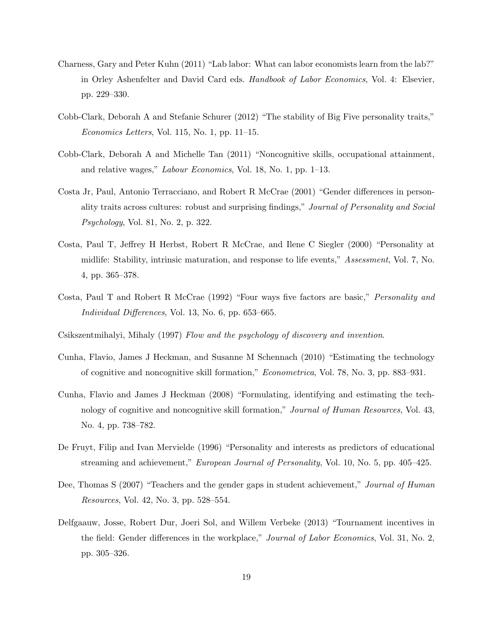- Charness, Gary and Peter Kuhn (2011) "Lab labor: What can labor economists learn from the lab?" in Orley Ashenfelter and David Card eds. Handbook of Labor Economics, Vol. 4: Elsevier, pp. 229–330.
- Cobb-Clark, Deborah A and Stefanie Schurer (2012) "The stability of Big Five personality traits," Economics Letters, Vol. 115, No. 1, pp. 11–15.
- Cobb-Clark, Deborah A and Michelle Tan (2011) "Noncognitive skills, occupational attainment, and relative wages," Labour Economics, Vol. 18, No. 1, pp. 1–13.
- Costa Jr, Paul, Antonio Terracciano, and Robert R McCrae (2001) "Gender differences in personality traits across cultures: robust and surprising findings," Journal of Personality and Social Psychology, Vol. 81, No. 2, p. 322.
- Costa, Paul T, Jeffrey H Herbst, Robert R McCrae, and Ilene C Siegler (2000) "Personality at midlife: Stability, intrinsic maturation, and response to life events," Assessment, Vol. 7, No. 4, pp. 365–378.
- Costa, Paul T and Robert R McCrae (1992) "Four ways five factors are basic," Personality and Individual Differences, Vol. 13, No. 6, pp. 653–665.
- Csikszentmihalyi, Mihaly (1997) Flow and the psychology of discovery and invention.
- Cunha, Flavio, James J Heckman, and Susanne M Schennach (2010) "Estimating the technology of cognitive and noncognitive skill formation," Econometrica, Vol. 78, No. 3, pp. 883–931.
- Cunha, Flavio and James J Heckman (2008) "Formulating, identifying and estimating the technology of cognitive and noncognitive skill formation," Journal of Human Resources, Vol. 43, No. 4, pp. 738–782.
- De Fruyt, Filip and Ivan Mervielde (1996) "Personality and interests as predictors of educational streaming and achievement," European Journal of Personality, Vol. 10, No. 5, pp. 405–425.
- Dee, Thomas S (2007) "Teachers and the gender gaps in student achievement," Journal of Human Resources, Vol. 42, No. 3, pp. 528–554.
- Delfgaauw, Josse, Robert Dur, Joeri Sol, and Willem Verbeke (2013) "Tournament incentives in the field: Gender differences in the workplace," *Journal of Labor Economics*, Vol. 31, No. 2, pp. 305–326.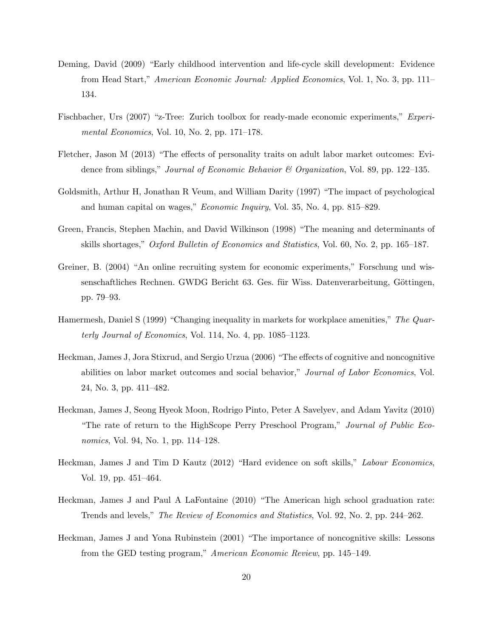- Deming, David (2009) "Early childhood intervention and life-cycle skill development: Evidence from Head Start," American Economic Journal: Applied Economics, Vol. 1, No. 3, pp. 111– 134.
- Fischbacher, Urs (2007) "z-Tree: Zurich toolbox for ready-made economic experiments," Experimental Economics, Vol. 10, No. 2, pp. 171–178.
- Fletcher, Jason M (2013) "The effects of personality traits on adult labor market outcomes: Evidence from siblings," *Journal of Economic Behavior & Organization*, Vol. 89, pp. 122–135.
- Goldsmith, Arthur H, Jonathan R Veum, and William Darity (1997) "The impact of psychological and human capital on wages," Economic Inquiry, Vol. 35, No. 4, pp. 815–829.
- Green, Francis, Stephen Machin, and David Wilkinson (1998) "The meaning and determinants of skills shortages," Oxford Bulletin of Economics and Statistics, Vol. 60, No. 2, pp. 165–187.
- Greiner, B. (2004) "An online recruiting system for economic experiments," Forschung und wissenschaftliches Rechnen. GWDG Bericht 63. Ges. für Wiss. Datenverarbeitung, Göttingen, pp. 79–93.
- Hamermesh, Daniel S (1999) "Changing inequality in markets for workplace amenities," The Quarterly Journal of Economics, Vol. 114, No. 4, pp. 1085–1123.
- Heckman, James J, Jora Stixrud, and Sergio Urzua (2006) "The effects of cognitive and noncognitive abilities on labor market outcomes and social behavior," Journal of Labor Economics, Vol. 24, No. 3, pp. 411–482.
- Heckman, James J, Seong Hyeok Moon, Rodrigo Pinto, Peter A Savelyev, and Adam Yavitz (2010) "The rate of return to the HighScope Perry Preschool Program," Journal of Public Economics, Vol. 94, No. 1, pp. 114–128.
- Heckman, James J and Tim D Kautz (2012) "Hard evidence on soft skills," Labour Economics, Vol. 19, pp. 451–464.
- Heckman, James J and Paul A LaFontaine (2010) "The American high school graduation rate: Trends and levels," The Review of Economics and Statistics, Vol. 92, No. 2, pp. 244–262.
- Heckman, James J and Yona Rubinstein (2001) "The importance of noncognitive skills: Lessons from the GED testing program," American Economic Review, pp. 145–149.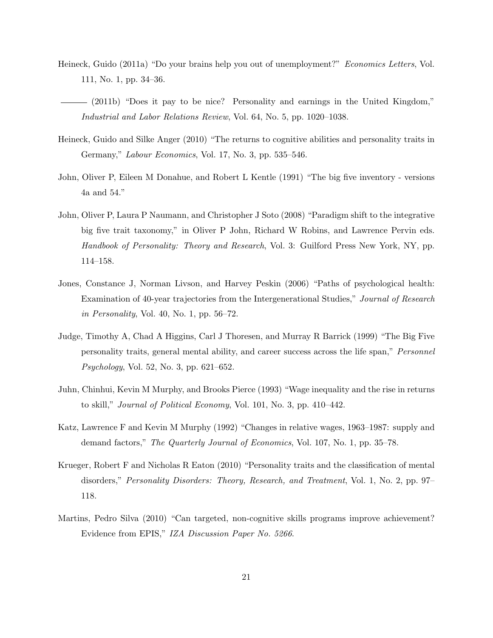- Heineck, Guido (2011a) "Do your brains help you out of unemployment?" Economics Letters, Vol. 111, No. 1, pp. 34–36.
- (2011b) "Does it pay to be nice? Personality and earnings in the United Kingdom," Industrial and Labor Relations Review, Vol. 64, No. 5, pp. 1020–1038.
- Heineck, Guido and Silke Anger (2010) "The returns to cognitive abilities and personality traits in Germany," Labour Economics, Vol. 17, No. 3, pp. 535–546.
- John, Oliver P, Eileen M Donahue, and Robert L Kentle (1991) "The big five inventory versions 4a and 54."
- John, Oliver P, Laura P Naumann, and Christopher J Soto (2008) "Paradigm shift to the integrative big five trait taxonomy," in Oliver P John, Richard W Robins, and Lawrence Pervin eds. Handbook of Personality: Theory and Research, Vol. 3: Guilford Press New York, NY, pp. 114–158.
- Jones, Constance J, Norman Livson, and Harvey Peskin (2006) "Paths of psychological health: Examination of 40-year trajectories from the Intergenerational Studies," Journal of Research in Personality, Vol. 40, No. 1, pp. 56–72.
- Judge, Timothy A, Chad A Higgins, Carl J Thoresen, and Murray R Barrick (1999) "The Big Five personality traits, general mental ability, and career success across the life span," Personnel Psychology, Vol. 52, No. 3, pp. 621–652.
- Juhn, Chinhui, Kevin M Murphy, and Brooks Pierce (1993) "Wage inequality and the rise in returns to skill," Journal of Political Economy, Vol. 101, No. 3, pp. 410–442.
- Katz, Lawrence F and Kevin M Murphy (1992) "Changes in relative wages, 1963–1987: supply and demand factors," The Quarterly Journal of Economics, Vol. 107, No. 1, pp. 35–78.
- Krueger, Robert F and Nicholas R Eaton (2010) "Personality traits and the classification of mental disorders," Personality Disorders: Theory, Research, and Treatment, Vol. 1, No. 2, pp. 97– 118.
- Martins, Pedro Silva (2010) "Can targeted, non-cognitive skills programs improve achievement? Evidence from EPIS," IZA Discussion Paper No. 5266.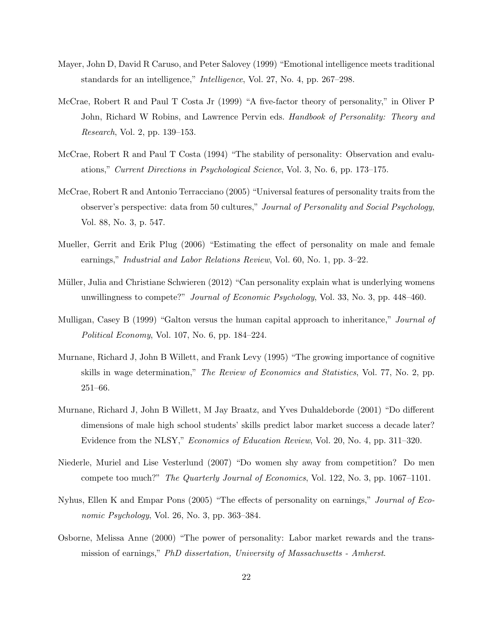- Mayer, John D, David R Caruso, and Peter Salovey (1999) "Emotional intelligence meets traditional standards for an intelligence," *Intelligence*, Vol. 27, No. 4, pp. 267–298.
- McCrae, Robert R and Paul T Costa Jr (1999) "A five-factor theory of personality," in Oliver P John, Richard W Robins, and Lawrence Pervin eds. Handbook of Personality: Theory and Research, Vol. 2, pp. 139–153.
- McCrae, Robert R and Paul T Costa (1994) "The stability of personality: Observation and evaluations," Current Directions in Psychological Science, Vol. 3, No. 6, pp. 173–175.
- McCrae, Robert R and Antonio Terracciano (2005) "Universal features of personality traits from the observer's perspective: data from 50 cultures," Journal of Personality and Social Psychology, Vol. 88, No. 3, p. 547.
- Mueller, Gerrit and Erik Plug (2006) "Estimating the effect of personality on male and female earnings," Industrial and Labor Relations Review, Vol. 60, No. 1, pp. 3–22.
- Müller, Julia and Christiane Schwieren (2012) "Can personality explain what is underlying womens unwillingness to compete?" *Journal of Economic Psychology*, Vol. 33, No. 3, pp. 448–460.
- Mulligan, Casey B (1999) "Galton versus the human capital approach to inheritance," Journal of Political Economy, Vol. 107, No. 6, pp. 184–224.
- Murnane, Richard J, John B Willett, and Frank Levy (1995) "The growing importance of cognitive skills in wage determination," The Review of Economics and Statistics, Vol. 77, No. 2, pp. 251–66.
- Murnane, Richard J, John B Willett, M Jay Braatz, and Yves Duhaldeborde (2001) "Do different dimensions of male high school students' skills predict labor market success a decade later? Evidence from the NLSY," Economics of Education Review, Vol. 20, No. 4, pp. 311–320.
- Niederle, Muriel and Lise Vesterlund (2007) "Do women shy away from competition? Do men compete too much?" The Quarterly Journal of Economics, Vol. 122, No. 3, pp. 1067–1101.
- Nyhus, Ellen K and Empar Pons (2005) "The effects of personality on earnings," Journal of Economic Psychology, Vol. 26, No. 3, pp. 363–384.
- Osborne, Melissa Anne (2000) "The power of personality: Labor market rewards and the transmission of earnings," PhD dissertation, University of Massachusetts - Amherst.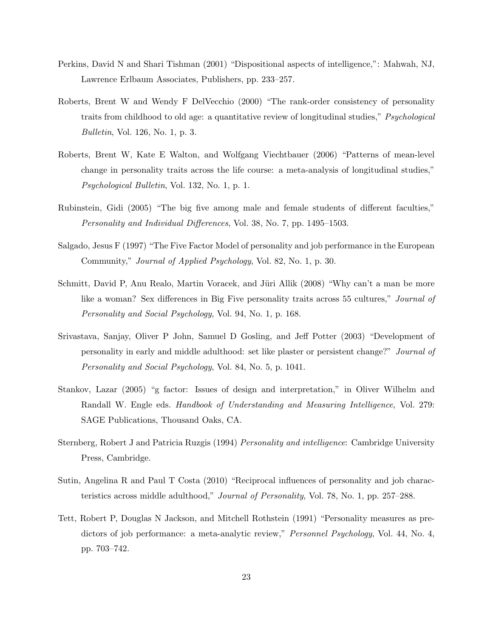- Perkins, David N and Shari Tishman (2001) "Dispositional aspects of intelligence,": Mahwah, NJ, Lawrence Erlbaum Associates, Publishers, pp. 233–257.
- Roberts, Brent W and Wendy F DelVecchio (2000) "The rank-order consistency of personality traits from childhood to old age: a quantitative review of longitudinal studies," Psychological Bulletin, Vol. 126, No. 1, p. 3.
- Roberts, Brent W, Kate E Walton, and Wolfgang Viechtbauer (2006) "Patterns of mean-level change in personality traits across the life course: a meta-analysis of longitudinal studies," Psychological Bulletin, Vol. 132, No. 1, p. 1.
- Rubinstein, Gidi (2005) "The big five among male and female students of different faculties," Personality and Individual Differences, Vol. 38, No. 7, pp. 1495–1503.
- Salgado, Jesus F (1997) "The Five Factor Model of personality and job performance in the European Community," Journal of Applied Psychology, Vol. 82, No. 1, p. 30.
- Schmitt, David P, Anu Realo, Martin Voracek, and Jüri Allik (2008) "Why can't a man be more like a woman? Sex differences in Big Five personality traits across 55 cultures," *Journal of* Personality and Social Psychology, Vol. 94, No. 1, p. 168.
- Srivastava, Sanjay, Oliver P John, Samuel D Gosling, and Jeff Potter (2003) "Development of personality in early and middle adulthood: set like plaster or persistent change?" Journal of Personality and Social Psychology, Vol. 84, No. 5, p. 1041.
- Stankov, Lazar (2005) "g factor: Issues of design and interpretation," in Oliver Wilhelm and Randall W. Engle eds. *Handbook of Understanding and Measuring Intelligence*, Vol. 279: SAGE Publications, Thousand Oaks, CA.
- Sternberg, Robert J and Patricia Ruzgis (1994) Personality and intelligence: Cambridge University Press, Cambridge.
- Sutin, Angelina R and Paul T Costa (2010) "Reciprocal influences of personality and job characteristics across middle adulthood," Journal of Personality, Vol. 78, No. 1, pp. 257–288.
- Tett, Robert P, Douglas N Jackson, and Mitchell Rothstein (1991) "Personality measures as predictors of job performance: a meta-analytic review," Personnel Psychology, Vol. 44, No. 4, pp. 703–742.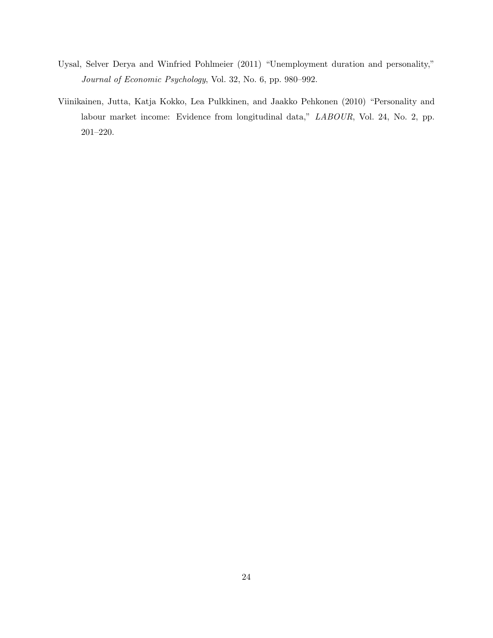- Uysal, Selver Derya and Winfried Pohlmeier (2011) "Unemployment duration and personality," Journal of Economic Psychology, Vol. 32, No. 6, pp. 980–992.
- Viinikainen, Jutta, Katja Kokko, Lea Pulkkinen, and Jaakko Pehkonen (2010) "Personality and labour market income: Evidence from longitudinal data," LABOUR, Vol. 24, No. 2, pp. 201–220.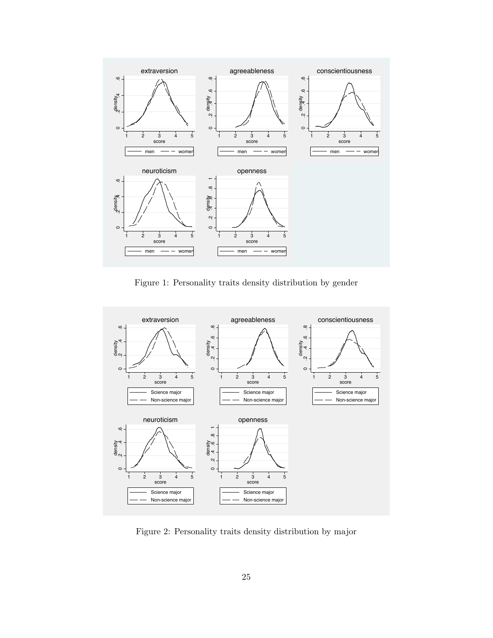

Figure 1: Personality traits density distribution by gender



Figure 2: Personality traits density distribution by major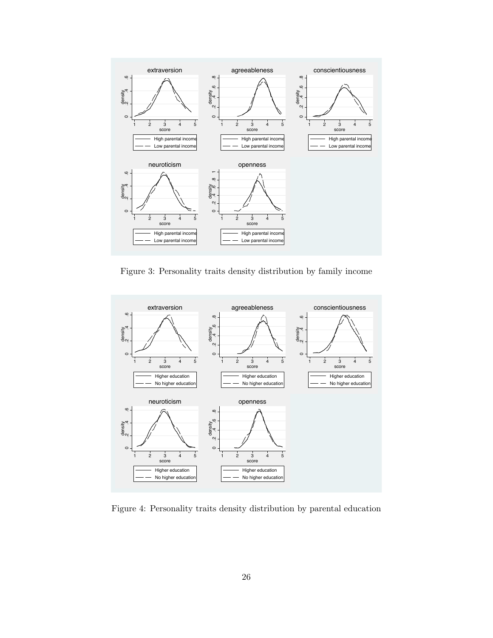

Figure 3: Personality traits density distribution by family income



Figure 4: Personality traits density distribution by parental education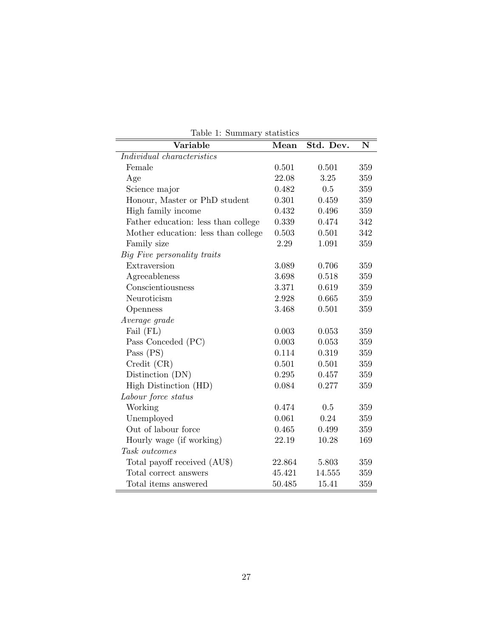| Variable                            | Mean   | Std. Dev. | N       |
|-------------------------------------|--------|-----------|---------|
| Individual characteristics          |        |           |         |
| Female                              | 0.501  | 0.501     | 359     |
| Age                                 | 22.08  | 3.25      | 359     |
| Science major                       | 0.482  | 0.5       | 359     |
| Honour, Master or PhD student       | 0.301  | 0.459     | 359     |
| High family income                  | 0.432  | 0.496     | 359     |
| Father education: less than college | 0.339  | 0.474     | 342     |
| Mother education: less than college | 0.503  | 0.501     | 342     |
| Family size                         | 2.29   | 1.091     | 359     |
| Big Five personality traits         |        |           |         |
| Extraversion                        | 3.089  | 0.706     | $359\,$ |
| Agreeableness                       | 3.698  | 0.518     | 359     |
| Conscientiousness                   | 3.371  | 0.619     | 359     |
| Neuroticism                         | 2.928  | 0.665     | 359     |
| Openness                            | 3.468  | 0.501     | 359     |
| Average grade                       |        |           |         |
| Fail (FL)                           | 0.003  | 0.053     | 359     |
| Pass Conceded (PC)                  | 0.003  | 0.053     | 359     |
| Pass $(PS)$                         | 0.114  | 0.319     | 359     |
| Credit (CR)                         | 0.501  | 0.501     | 359     |
| Distinction (DN)                    | 0.295  | 0.457     | 359     |
| High Distinction (HD)               | 0.084  | 0.277     | 359     |
| Labour force status                 |        |           |         |
| Working                             | 0.474  | 0.5       | 359     |
| Unemployed                          | 0.061  | 0.24      | 359     |
| Out of labour force                 | 0.465  | 0.499     | 359     |
| Hourly wage (if working)            | 22.19  | 10.28     | 169     |
| Task outcomes                       |        |           |         |
| Total payoff received (AU\$)        | 22.864 | 5.803     | 359     |
| Total correct answers               | 45.421 | 14.555    | 359     |
| Total items answered                | 50.485 | 15.41     | 359     |

Table 1: Summary statistics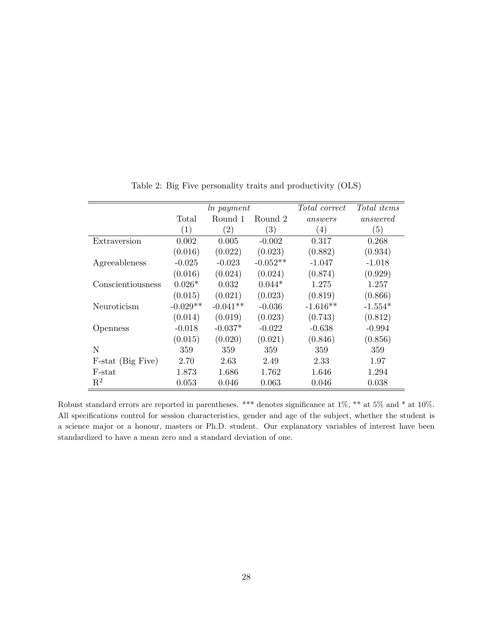|                   | ln payment |                   |                   | <i>Total correct</i> | <i>Total items</i> |
|-------------------|------------|-------------------|-------------------|----------------------|--------------------|
|                   | Total      | Round 1           | Round 2           | answers              | answered           |
|                   | (1)        | $\left( 2\right)$ | $\left( 3\right)$ | (4)                  | (5)                |
| Extraversion      | 0.002      | 0.005             | $-0.002$          | 0.317                | 0.268              |
|                   | (0.016)    | (0.022)           | (0.023)           | (0.882)              | (0.934)            |
| Agreeableness     | $-0.025$   | $-0.023$          | $-0.052**$        | $-1.047$             | $-1.018$           |
|                   | (0.016)    | (0.024)           | (0.024)           | (0.874)              | (0.929)            |
| Conscientiousness | $0.026*$   | 0.032             | $0.044*$          | 1.275                | 1.257              |
|                   | (0.015)    | (0.021)           | (0.023)           | (0.819)              | (0.866)            |
| Neuroticism       | $-0.029**$ | $-0.041**$        | $-0.036$          | $-1.616**$           | $-1.554*$          |
|                   | (0.014)    | (0.019)           | (0.023)           | (0.743)              | (0.812)            |
| Openness          | $-0.018$   | $-0.037*$         | $-0.022$          | $-0.638$             | $-0.994$           |
|                   | (0.015)    | (0.020)           | (0.021)           | (0.846)              | (0.856)            |
| N                 | 359        | 359               | 359               | 359                  | 359                |
| F-stat (Big Five) | 2.70       | 2.63              | 2.49              | 2.33                 | 1.97               |
| F-stat            | 1.873      | 1.686             | 1.762             | 1.646                | 1.294              |
| $\mathbf{R}^2$    | 0.053      | 0.046             | 0.063             | 0.046                | 0.038              |

Table 2: Big Five personality traits and productivity (OLS)

Robust standard errors are reported in parentheses. \*\*\* denotes significance at 1%, \*\* at 5% and \* at 10%. All specifications control for session characteristics, gender and age of the subject, whether the student is a science major or a honour, masters or Ph.D. student. Our explanatory variables of interest have been standardized to have a mean zero and a standard deviation of one.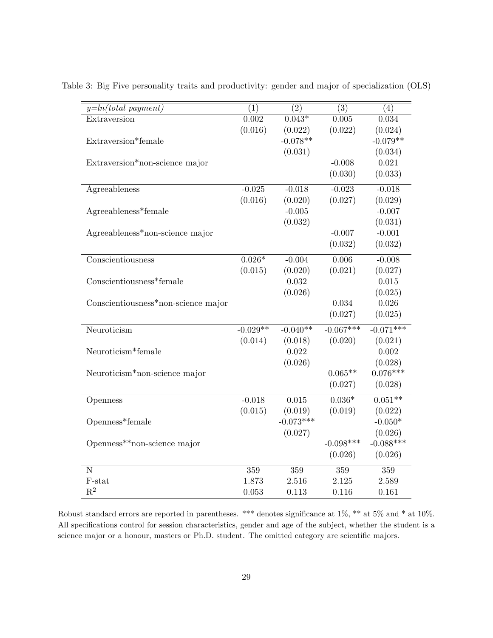| $y=ln(total\ payment)$              | (1)        | (2)         | (3)         | (4)         |
|-------------------------------------|------------|-------------|-------------|-------------|
| Extraversion                        | 0.002      | $0.043*$    | 0.005       | 0.034       |
|                                     | (0.016)    | (0.022)     | (0.022)     | (0.024)     |
| Extraversion*female                 |            | $-0.078**$  |             | $-0.079**$  |
|                                     |            | (0.031)     |             | (0.034)     |
| Extraversion*non-science major      |            |             | $-0.008$    | 0.021       |
|                                     |            |             | (0.030)     | (0.033)     |
| Agreeableness                       | $-0.025$   | $-0.018$    | $-0.023$    | $-0.018$    |
|                                     | (0.016)    | (0.020)     | (0.027)     | (0.029)     |
| Agreeableness*female                |            | $-0.005$    |             | $-0.007$    |
|                                     |            | (0.032)     |             | (0.031)     |
| Agreeableness*non-science major     |            |             | $-0.007$    | $-0.001$    |
|                                     |            |             | (0.032)     | (0.032)     |
| $\overline{\text{Conscient} }$      | $0.026*$   | $-0.004$    | 0.006       | $-0.008$    |
|                                     | (0.015)    | (0.020)     | (0.021)     | (0.027)     |
| Conscientiousness*female            |            | 0.032       |             | 0.015       |
|                                     |            | (0.026)     |             | (0.025)     |
| Conscientiousness*non-science major |            |             | 0.034       | 0.026       |
|                                     |            |             | (0.027)     | (0.025)     |
| Neuroticism                         | $-0.029**$ | $-0.040**$  | $-0.067***$ | $-0.071***$ |
|                                     | (0.014)    | (0.018)     | (0.020)     | (0.021)     |
| Neuroticism*female                  |            | 0.022       |             | 0.002       |
|                                     |            | (0.026)     |             | (0.028)     |
| Neuroticism*non-science major       |            |             | $0.065**$   | $0.076***$  |
|                                     |            |             | (0.027)     | (0.028)     |
| Openness                            | $-0.018$   | 0.015       | $0.036*$    | $0.051***$  |
|                                     | (0.015)    | (0.019)     | (0.019)     | (0.022)     |
| Openness*female                     |            | $-0.073***$ |             | $-0.050*$   |
|                                     |            | (0.027)     |             | (0.026)     |
| Openness**non-science major         |            |             | $-0.098***$ | $-0.088***$ |
|                                     |            |             | (0.026)     | (0.026)     |
| $\overline{\text{N}}$               | 359        | 359         | 359         | 359         |
| $F$ -stat                           | 1.873      | 2.516       | 2.125       | 2.589       |
| $\mathbf{R}^2$                      | 0.053      | 0.113       | 0.116       | 0.161       |

Table 3: Big Five personality traits and productivity: gender and major of specialization (OLS)

Robust standard errors are reported in parentheses. \*\*\* denotes significance at 1%, \*\* at 5% and \* at 10%. All specifications control for session characteristics, gender and age of the subject, whether the student is a science major or a honour, masters or Ph.D. student. The omitted category are scientific majors.